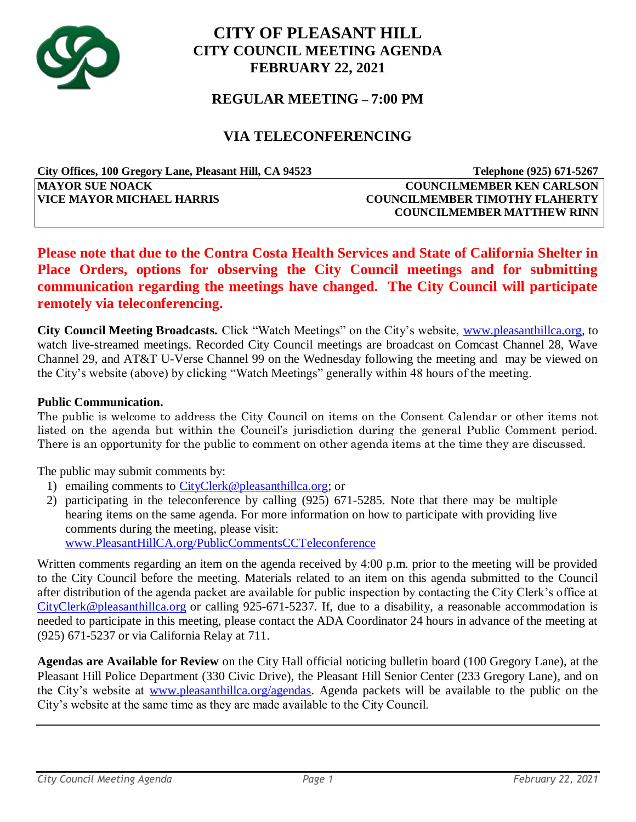

# **CITY OF PLEASANT HILL CITY COUNCIL MEETING AGENDA FEBRUARY 22, 2021**

## **REGULAR MEETING – 7:00 PM**

## **VIA TELECONFERENCING**

| City Offices, 100 Gregory Lane, Pleasant Hill, CA 94523 | Telephone (925) 671-5267              |
|---------------------------------------------------------|---------------------------------------|
| <b>MAYOR SUE NOACK</b>                                  | <b>COUNCILMEMBER KEN CARLSON</b>      |
| <b>VICE MAYOR MICHAEL HARRIS</b>                        | <b>COUNCILMEMBER TIMOTHY FLAHERTY</b> |
|                                                         | <b>COUNCILMEMBER MATTHEW RINN</b>     |

## **Please note that due to the Contra Costa Health Services and State of California Shelter in Place Orders, options for observing the City Council meetings and for submitting communication regarding the meetings have changed. The City Council will participate remotely via teleconferencing.**

**City Council Meeting Broadcasts.** Click "Watch Meetings" on the City's website, [www.pleasanthillca.org,](http://www.pleasanthillca.org/) to watch live-streamed meetings. Recorded City Council meetings are broadcast on Comcast Channel 28, Wave Channel 29, and AT&T U-Verse Channel 99 on the Wednesday following the meeting and may be viewed on the City's website (above) by clicking "Watch Meetings" generally within 48 hours of the meeting.

#### **Public Communication.**

The public is welcome to address the City Council on items on the Consent Calendar or other items not listed on the agenda but within the Council's jurisdiction during the general Public Comment period. There is an opportunity for the public to comment on other agenda items at the time they are discussed.

The public may submit comments by:

- 1) emailing comments to [CityClerk@pleasanthillca.org;](mailto:CityClerk@pleasanthillca.org) or
- 2) participating in the teleconference by calling (925) 671-5285. Note that there may be multiple hearing items on the same agenda. For more information on how to participate with providing live comments during the meeting, please visit: [www.PleasantHillCA.org/PublicCommentsCCTeleconference](http://www.pleasanthillca.org/PublicCommentsCCTeleconference)

Written comments regarding an item on the agenda received by 4:00 p.m. prior to the meeting will be provided to the City Council before the meeting. Materials related to an item on this agenda submitted to the Council after distribution of the agenda packet are available for public inspection by contacting the City Clerk's office at [CityClerk@pleasanthillca.org](mailto:CityClerk@pleasanthillca.org) or calling 925-671-5237. If, due to a disability, a reasonable accommodation is needed to participate in this meeting, please contact the ADA Coordinator 24 hours in advance of the meeting at (925) 671-5237 or via California Relay at 711.

**Agendas are Available for Review** on the City Hall official noticing bulletin board (100 Gregory Lane), at the Pleasant Hill Police Department (330 Civic Drive), the Pleasant Hill Senior Center (233 Gregory Lane), and on the City's website at [www.pleasanthillca.org/agendas.](http://www.pleasanthillca.org/agendas) Agenda packets will be available to the public on the City's website at the same time as they are made available to the City Council.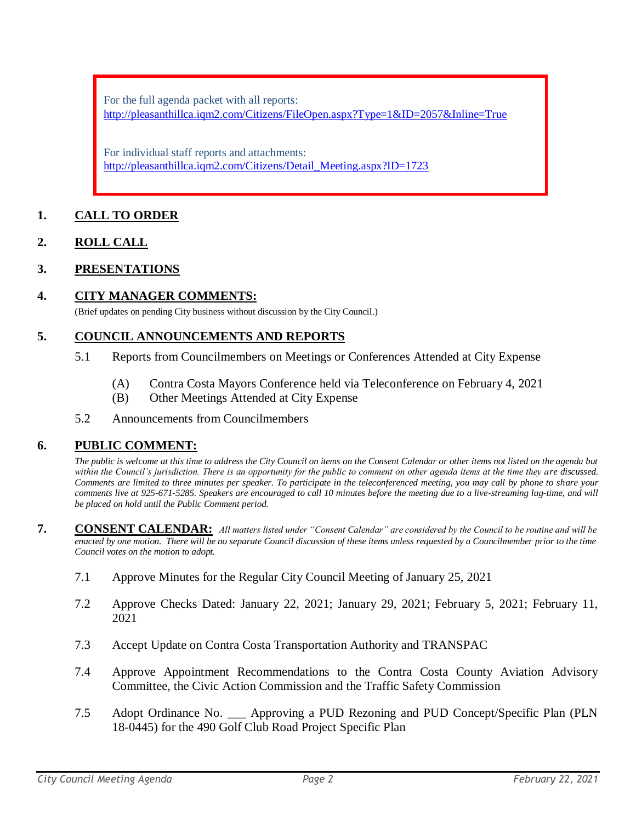For the full agenda packet with all reports: <http://pleasanthillca.iqm2.com/Citizens/FileOpen.aspx?Type=1&ID=2057&Inline=True>

For individual staff reports and attachments: [http://pleasanthillca.iqm2.com/Citizens/Detail\\_Meeting.aspx?ID=1723](http://pleasanthillca.iqm2.com/Citizens/Detail_Meeting.aspx?ID=1723)

## **1. CALL TO ORDER**

## **2. ROLL CALL**

## **3. PRESENTATIONS**

#### **4. CITY MANAGER COMMENTS:**

(Brief updates on pending City business without discussion by the City Council.)

#### **5. COUNCIL ANNOUNCEMENTS AND REPORTS**

- 5.1 Reports from Councilmembers on Meetings or Conferences Attended at City Expense
	- (A) Contra Costa Mayors Conference held via Teleconference on February 4, 2021
	- (B) Other Meetings Attended at City Expense

#### 5.2 Announcements from Councilmembers

#### **6. PUBLIC COMMENT:**

*The public is welcome at this time to address the City Council on items on the Consent Calendar or other items not listed on the agenda but within the Council's jurisdiction. There is an opportunity for the public to comment on other agenda items at the time they are discussed. Comments are limited to three minutes per speaker. To participate in the teleconferenced meeting, you may call by phone to share your comments live at 925-671-5285. Speakers are encouraged to call 10 minutes before the meeting due to a live-streaming lag-time, and will be placed on hold until the Public Comment period.*

- **7. CONSENT CALENDAR:** *All matters listed under "Consent Calendar" are considered by the Council to be routine and will be enacted by one motion. There will be no separate Council discussion of these items unless requested by a Councilmember prior to the time Council votes on the motion to adopt.*
	- 7.1 Approve Minutes for the Regular City Council Meeting of January 25, 2021
	- 7.2 Approve Checks Dated: January 22, 2021; January 29, 2021; February 5, 2021; February 11, 2021
	- 7.3 Accept Update on Contra Costa Transportation Authority and TRANSPAC
	- 7.4 Approve Appointment Recommendations to the Contra Costa County Aviation Advisory Committee, the Civic Action Commission and the Traffic Safety Commission
	- 7.5 Adopt Ordinance No. \_\_\_ Approving a PUD Rezoning and PUD Concept/Specific Plan (PLN 18-0445) for the 490 Golf Club Road Project Specific Plan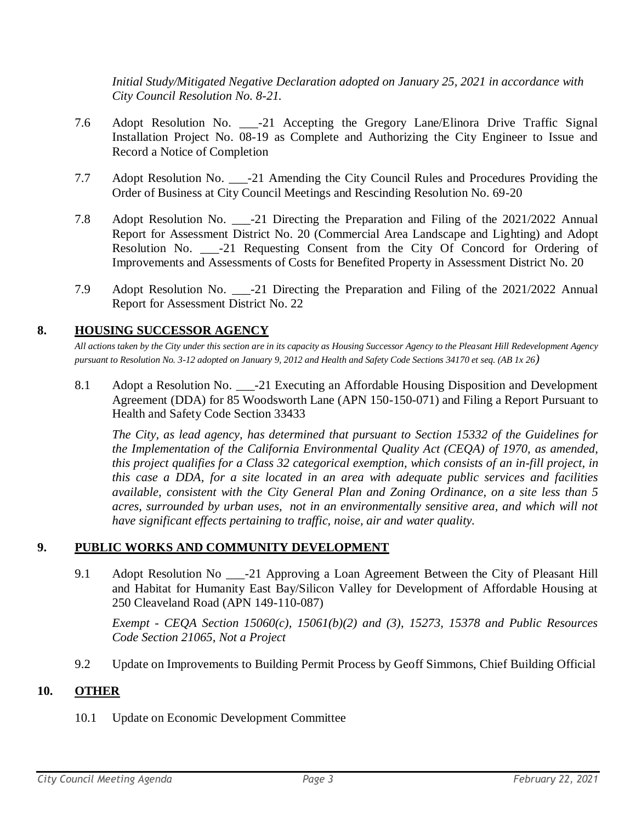*Initial Study/Mitigated Negative Declaration adopted on January 25, 2021 in accordance with City Council Resolution No. 8-21.*

- 7.6 Adopt Resolution No. \_\_\_-21 Accepting the Gregory Lane/Elinora Drive Traffic Signal Installation Project No. 08-19 as Complete and Authorizing the City Engineer to Issue and Record a Notice of Completion
- 7.7 Adopt Resolution No. \_\_\_-21 Amending the City Council Rules and Procedures Providing the Order of Business at City Council Meetings and Rescinding Resolution No. 69-20
- 7.8 Adopt Resolution No. \_\_\_-21 Directing the Preparation and Filing of the 2021/2022 Annual Report for Assessment District No. 20 (Commercial Area Landscape and Lighting) and Adopt Resolution No. -21 Requesting Consent from the City Of Concord for Ordering of Improvements and Assessments of Costs for Benefited Property in Assessment District No. 20
- 7.9 Adopt Resolution No. \_\_\_-21 Directing the Preparation and Filing of the 2021/2022 Annual Report for Assessment District No. 22

## **8. HOUSING SUCCESSOR AGENCY**

*All actions taken by the City under this section are in its capacity as Housing Successor Agency to the Pleasant Hill Redevelopment Agency pursuant to Resolution No. 3-12 adopted on January 9, 2012 and Health and Safety Code Sections 34170 et seq. (AB 1x 26)*

8.1 Adopt a Resolution No. \_\_\_-21 Executing an Affordable Housing Disposition and Development Agreement (DDA) for 85 Woodsworth Lane (APN 150-150-071) and Filing a Report Pursuant to Health and Safety Code Section 33433

*The City, as lead agency, has determined that pursuant to Section 15332 of the Guidelines for the Implementation of the California Environmental Quality Act (CEQA) of 1970, as amended, this project qualifies for a Class 32 categorical exemption, which consists of an in-fill project, in this case a DDA, for a site located in an area with adequate public services and facilities available, consistent with the City General Plan and Zoning Ordinance, on a site less than 5 acres, surrounded by urban uses, not in an environmentally sensitive area, and which will not have significant effects pertaining to traffic, noise, air and water quality.*

## **9. PUBLIC WORKS AND COMMUNITY DEVELOPMENT**

9.1 Adopt Resolution No \_\_\_-21 Approving a Loan Agreement Between the City of Pleasant Hill and Habitat for Humanity East Bay/Silicon Valley for Development of Affordable Housing at 250 Cleaveland Road (APN 149-110-087)

*Exempt - CEQA Section 15060(c), 15061(b)(2) and (3), 15273, 15378 and Public Resources Code Section 21065, Not a Project*

9.2 Update on Improvements to Building Permit Process by Geoff Simmons, Chief Building Official

## **10. OTHER**

10.1 Update on Economic Development Committee